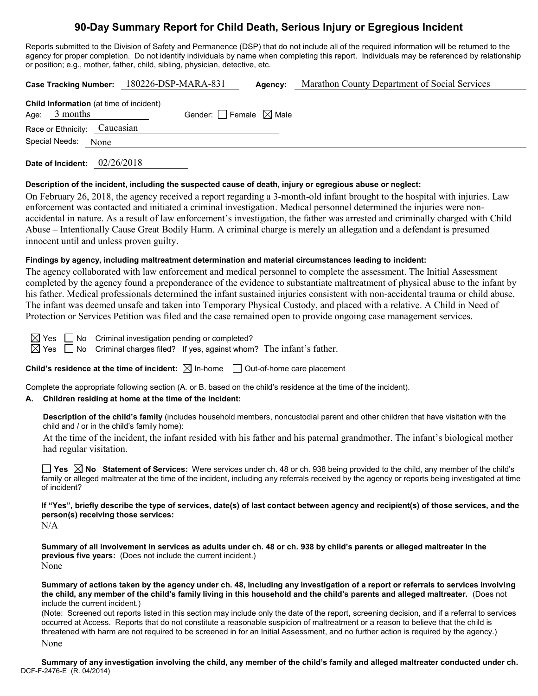# **90-Day Summary Report for Child Death, Serious Injury or Egregious Incident**

Reports submitted to the Division of Safety and Permanence (DSP) that do not include all of the required information will be returned to the agency for proper completion. Do not identify individuals by name when completing this report. Individuals may be referenced by relationship or position; e.g., mother, father, child, sibling, physician, detective, etc.

|                 |                                                | Case Tracking Number: 180226-DSP-MARA-831 | Agency: | Marathon County Department of Social Services |
|-----------------|------------------------------------------------|-------------------------------------------|---------|-----------------------------------------------|
| Age: $3$ months | <b>Child Information</b> (at time of incident) | Gender: $\Box$ Female $\boxtimes$ Male    |         |                                               |
|                 | Race or Ethnicity: Caucasian                   |                                           |         |                                               |
|                 | Special Needs: None                            |                                           |         |                                               |
|                 |                                                |                                           |         |                                               |

**Date of Incident:** 02/26/2018

### **Description of the incident, including the suspected cause of death, injury or egregious abuse or neglect:**

On February 26, 2018, the agency received a report regarding a 3-month-old infant brought to the hospital with injuries. Law enforcement was contacted and initiated a criminal investigation. Medical personnel determined the injuries were nonaccidental in nature. As a result of law enforcement's investigation, the father was arrested and criminally charged with Child Abuse – Intentionally Cause Great Bodily Harm. A criminal charge is merely an allegation and a defendant is presumed innocent until and unless proven guilty.

### **Findings by agency, including maltreatment determination and material circumstances leading to incident:**

The agency collaborated with law enforcement and medical personnel to complete the assessment. The Initial Assessment completed by the agency found a preponderance of the evidence to substantiate maltreatment of physical abuse to the infant by his father. Medical professionals determined the infant sustained injuries consistent with non-accidental trauma or child abuse. The infant was deemed unsafe and taken into Temporary Physical Custody, and placed with a relative. A Child in Need of Protection or Services Petition was filed and the case remained open to provide ongoing case management services.

 $\boxtimes$  Yes  $\Box$  No Criminal investigation pending or completed?  $\boxtimes$  Yes  $\Box$  No Criminal charges filed? If yes, against whom? The infant's father.

**Child's residence at the time of incident:**  $\boxtimes$  In-home  $\Box$  Out-of-home care placement

Complete the appropriate following section (A. or B. based on the child's residence at the time of the incident).

## **A. Children residing at home at the time of the incident:**

**Description of the child's family** (includes household members, noncustodial parent and other children that have visitation with the child and / or in the child's family home):

At the time of the incident, the infant resided with his father and his paternal grandmother. The infant's biological mother had regular visitation.

**Yes No Statement of Services:** Were services under ch. 48 or ch. 938 being provided to the child, any member of the child's  $\overline{f}$  family or alleged maltreater at the time of the incident, including any referrals received by the agency or reports being investigated at time of incident?

**If "Yes", briefly describe the type of services, date(s) of last contact between agency and recipient(s) of those services, and the person(s) receiving those services:**

 $N/A$ 

**Summary of all involvement in services as adults under ch. 48 or ch. 938 by child's parents or alleged maltreater in the previous five years:** (Does not include the current incident.) None

**Summary of actions taken by the agency under ch. 48, including any investigation of a report or referrals to services involving the child, any member of the child's family living in this household and the child's parents and alleged maltreater.** (Does not include the current incident.)

(Note: Screened out reports listed in this section may include only the date of the report, screening decision, and if a referral to services occurred at Access. Reports that do not constitute a reasonable suspicion of maltreatment or a reason to believe that the child is threatened with harm are not required to be screened in for an Initial Assessment, and no further action is required by the agency.) None

DCF-F-2476-E (R. 04/2014) **Summary of any investigation involving the child, any member of the child's family and alleged maltreater conducted under ch.**